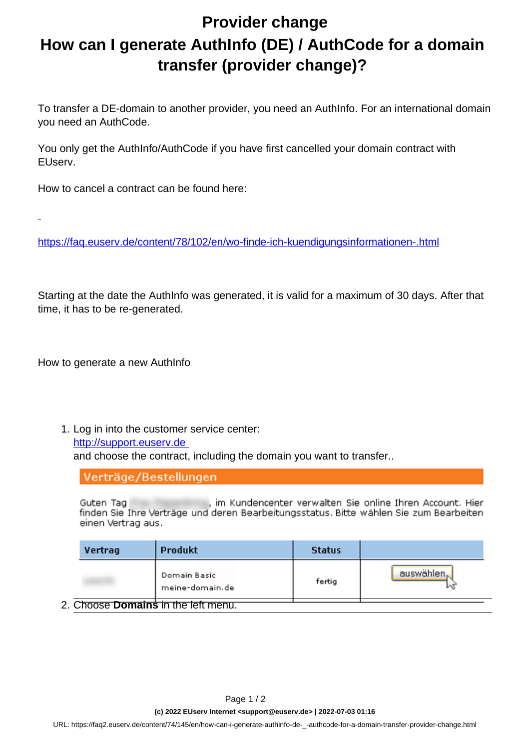## **Provider change How can I generate AuthInfo (DE) / AuthCode for a domain transfer (provider change)?**

To transfer a DE-domain to another provider, you need an AuthInfo. For an international domain you need an AuthCode.

You only get the AuthInfo/AuthCode if you have first cancelled your domain contract with EUserv.

How to cancel a contract can be found here:

<https://faq.euserv.de/content/78/102/en/wo-finde-ich-kuendigungsinformationen-.html>

Starting at the date the AuthInfo was generated, it is valid for a maximum of 30 days. After that time, it has to be re-generated.

How to generate a new AuthInfo

1. Log in into the customer service center:

[http://support.euserv.de](http://support.euserv.de%20) 

and choose the contract, including the domain you want to transfer..

Verträge/Bestellungen

, im Kundencenter verwalten Sie online Ihren Account. Hier Guten Tag finden Sie Ihre Verträge und deren Bearbeitungsstatus. Bitte wählen Sie zum Bearbeiten einen Vertrag aus.

|                                            | Vertrag | Produkt                         | <b>Status</b> |            |  |  |  |
|--------------------------------------------|---------|---------------------------------|---------------|------------|--|--|--|
|                                            |         | Domain Basic<br>meine-domain.de | fertig        | auswählen. |  |  |  |
| 2. Choose <b>Domains</b> in the left menu. |         |                                 |               |            |  |  |  |

URL: https://faq2.euserv.de/content/74/145/en/how-can-i-generate-authinfo-de-\_-authcode-for-a-domain-transfer-provider-change.html